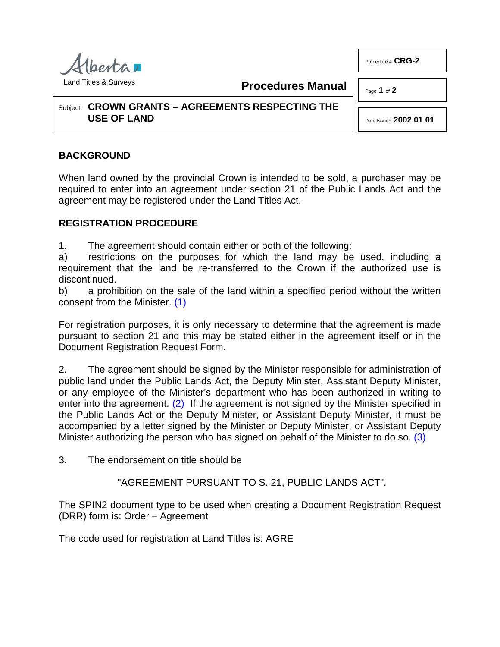

Land Titles & Surveys

**Procedures Manual**

Page **1** of **2**

Procedure # **CRG-2**

Subject: **CROWN GRANTS – AGREEMENTS RESPECTING THE USE OF LAND**

Date Issued **2002 01 01**

## **BACKGROUND**

When land owned by the provincial Crown is intended to be sold, a purchaser may be required to enter into an agreement under section 21 of the Public Lands Act and the agreement may be registered under the Land Titles Act.

## **REGISTRATION PROCEDURE**

1. The agreement should contain either or both of the following:

a) restrictions on the purposes for which the land may be used, including a requirement that the land be re-transferred to the Crown if the authorized use is discontinued.

<span id="page-0-0"></span>b) a prohibition on the sale of the land within a specified period without the written consent from the Minister. [\(1\)](#page-1-0)

For registration purposes, it is only necessary to determine that the agreement is made pursuant to section 21 and this may be stated either in the agreement itself or in the Document Registration Request Form.

2. The agreement should be signed by the Minister responsible for administration of public land under the Public Lands Act, the Deputy Minister, Assistant Deputy Minister, or any employee of the Minister's department who has been authorized in writing to enter into the agreement. [\(2\)](#page-1-1) If the agreement is not signed by the Minister specified in the Public Lands Act or the Deputy Minister, or Assistant Deputy Minister, it must be accompanied by a letter signed by the Minister or Deputy Minister, or Assistant Deputy Minister authorizing the person who has signed on behalf of the Minister to do so. [\(3\)](#page-1-2)

3. The endorsement on title should be

<span id="page-0-2"></span><span id="page-0-1"></span>"AGREEMENT PURSUANT TO S. 21, PUBLIC LANDS ACT".

The SPIN2 document type to be used when creating a Document Registration Request (DRR) form is: Order – Agreement

The code used for registration at Land Titles is: AGRE